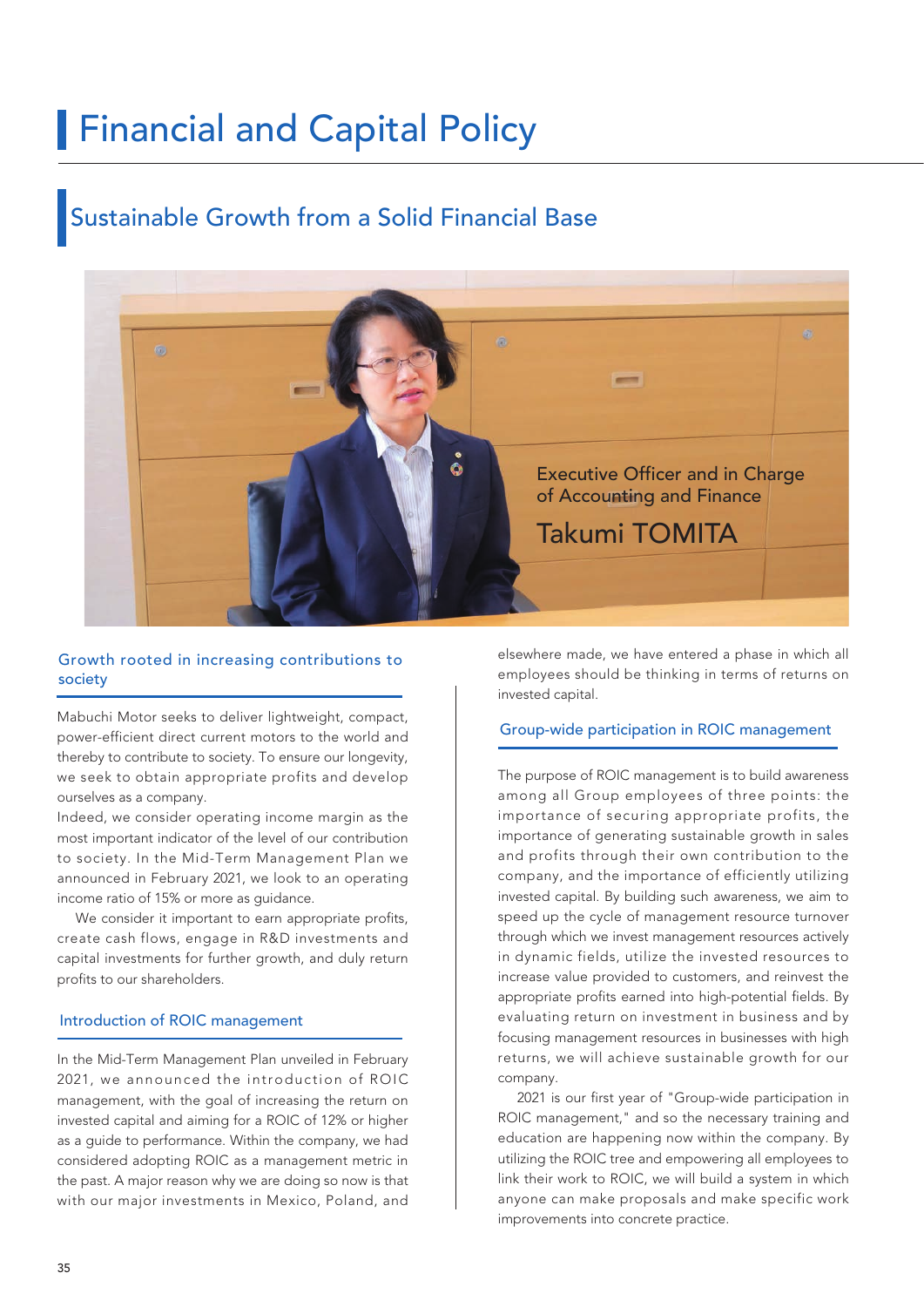# **Financial and Capital Policy**

### Sustainable Growth from a Solid Financial Base



### society Growth rooted in increasing contributions to

Mabuchi Motor seeks to deliver lightweight, compact, power-efficient direct current motors to the world and thereby to contribute to society. To ensure our longevity, we seek to obtain appropriate profits and develop ourselves as a company.

Indeed, we consider operating income margin as the most important indicator of the level of our contribution to society. In the Mid-Term Management Plan we announced in February 2021, we look to an operating income ratio of 15% or more as guidance.

We consider it important to earn appropriate profits, create cash flows, engage in R&D investments and capital investments for further growth, and duly return profits to our shareholders.

### Introduction of ROIC management

In the Mid-Term Management Plan unveiled in February 2021, we announced the introduction of ROIC management, with the goal of increasing the return on invested capital and aiming for a ROIC of 12% or higher as a guide to performance. Within the company, we had considered adopting ROIC as a management metric in the past. A major reason why we are doing so now is that with our major investments in Mexico, Poland, and elsewhere made, we have entered a phase in which all employees should be thinking in terms of returns on invested capital.

### Group-wide participation in ROIC management

The purpose of ROIC management is to build awareness among all Group employees of three points: the importance of securing appropriate profits, the importance of generating sustainable growth in sales and profits through their own contribution to the company, and the importance of efficiently utilizing invested capital. By building such awareness, we aim to speed up the cycle of management resource turnover through which we invest management resources actively in dynamic fields, utilize the invested resources to increase value provided to customers, and reinvest the appropriate profits earned into high-potential fields. By evaluating return on investment in business and by focusing management resources in businesses with high returns, we will achieve sustainable growth for our company.

 2021 is our first year of "Group-wide participation in ROIC management," and so the necessary training and education are happening now within the company. By utilizing the ROIC tree and empowering all employees to link their work to ROIC, we will build a system in which anyone can make proposals and make specific work improvements into concrete practice.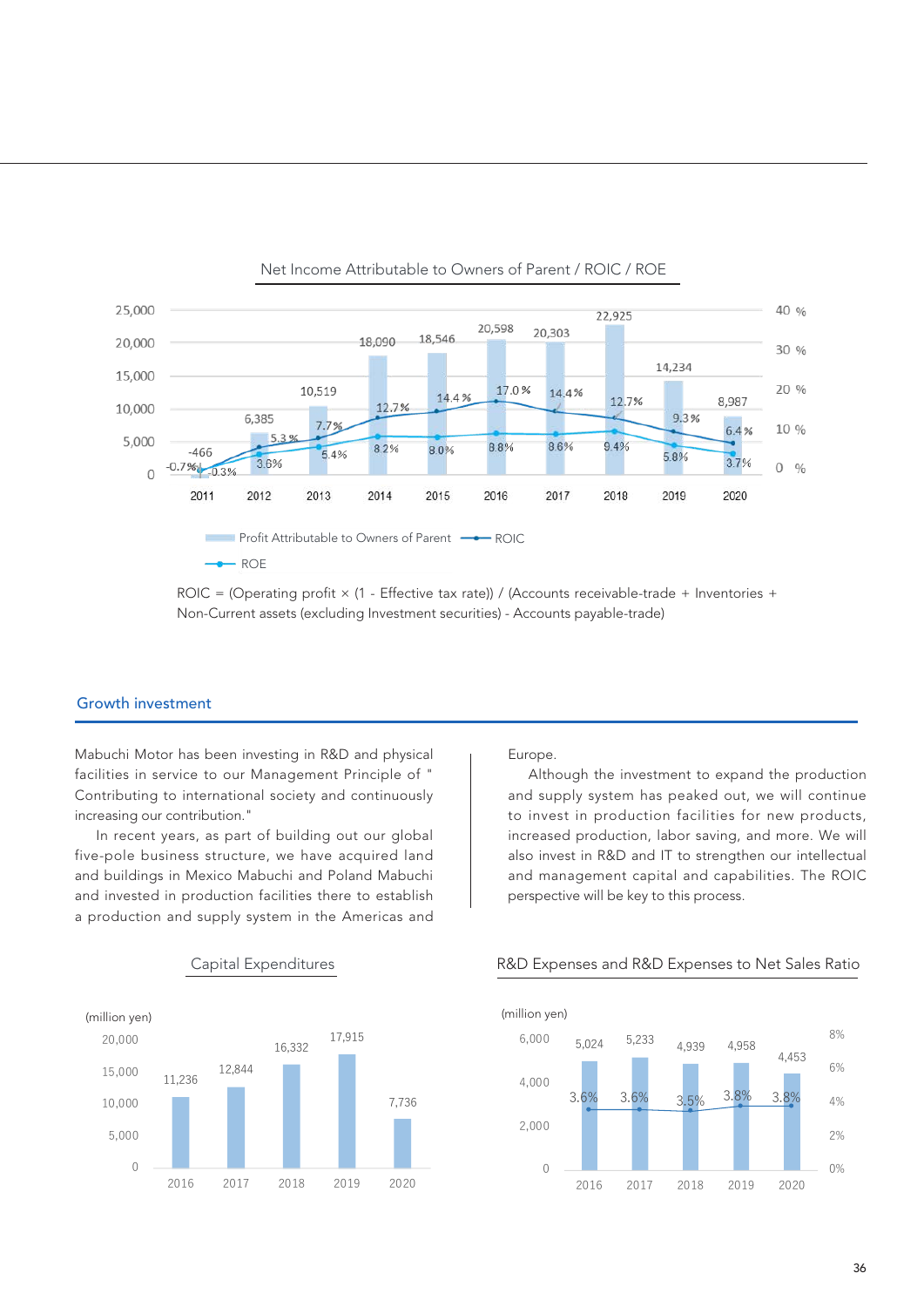

 $ROIC = (Operating profit × (1 - Effective tax rate)) / (Accounts receive value +威 = 1 - 1)$ Non-Current assets (excluding Investment securities) - Accounts payable-trade)

### Growth investment

Mabuchi Motor has been investing in R&D and physical facilities in service to our Management Principle of " Contributing to international society and continuously increasing our contribution."

 In recent years, as part of building out our global five-pole business structure, we have acquired land and buildings in Mexico Mabuchi and Poland Mabuchi and invested in production facilities there to establish a production and supply system in the Americas and



### Europe.

 Although the investment to expand the production and supply system has peaked out, we will continue to invest in production facilities for new products, increased production, labor saving, and more. We will also invest in R&D and IT to strengthen our intellectual and management capital and capabilities. The ROIC perspective will be key to this process.



### Capital Expenditures R&D Expenses and R&D Expenses to Net Sales Ratio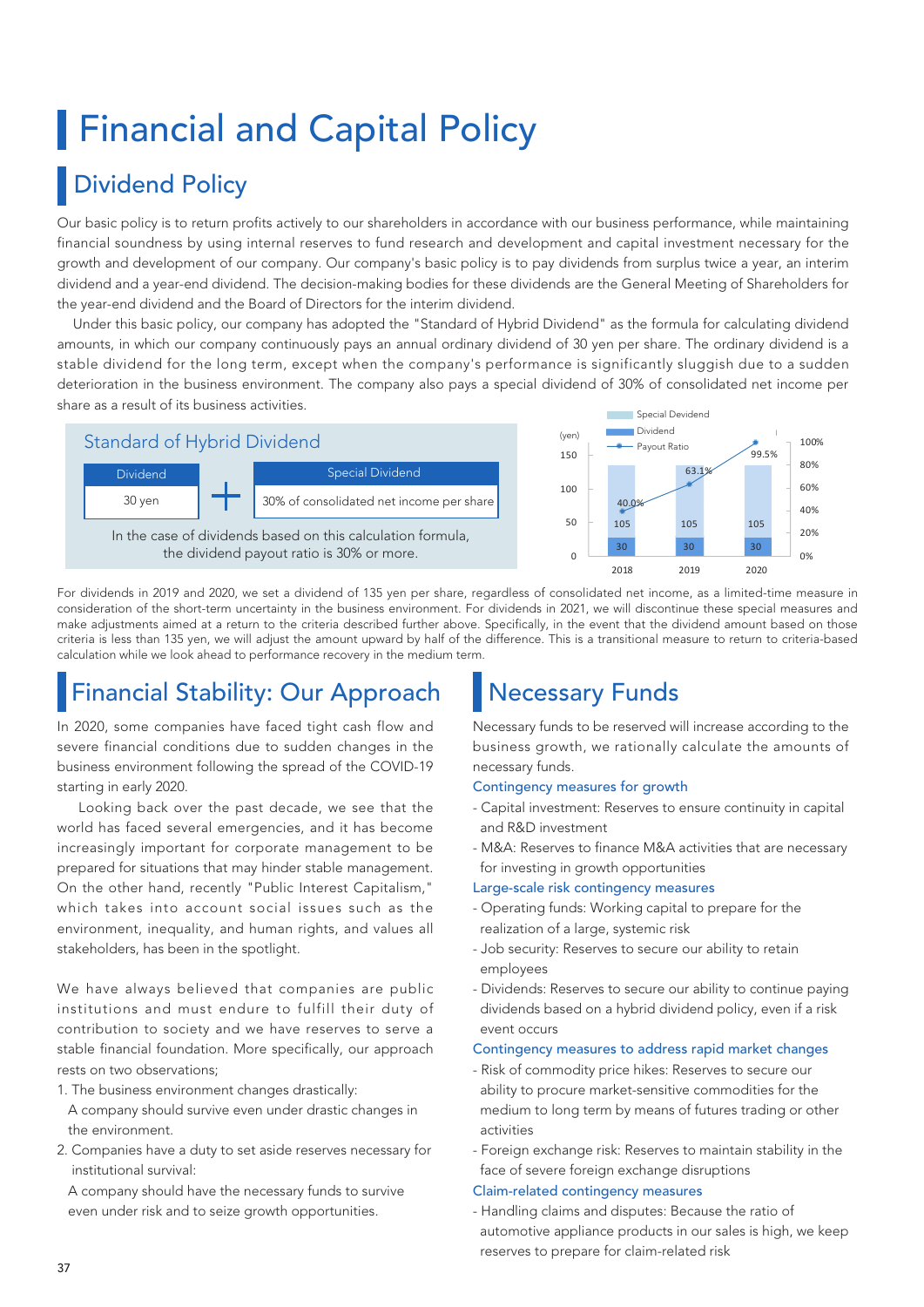# **Financial and Capital Policy**

## Dividend Policy

Our basic policy is to return profits actively to our shareholders in accordance with our business performance, while maintaining financial soundness by using internal reserves to fund research and development and capital investment necessary for the growth and development of our company. Our company's basic policy is to pay dividends from surplus twice a year, an interim dividend and a year-end dividend. The decision-making bodies for these dividends are the General Meeting of Shareholders for the year-end dividend and the Board of Directors for the interim dividend.

 Under this basic policy, our company has adopted the "Standard of Hybrid Dividend" as the formula for calculating dividend amounts, in which our company continuously pays an annual ordinary dividend of 30 yen per share. The ordinary dividend is a stable dividend for the long term, except when the company's performance is significantly sluggish due to a sudden deterioration in the business environment. The company also pays a special dividend of 30% of consolidated net income per share as a result of its business activities. Special Devidend



For dividends in 2019 and 2020, we set a dividend of 135 yen per share, regardless of consolidated net income, as a limited-time measure in consideration of the short-term uncertainty in the business environment. For dividends in 2021, we will discontinue these special measures and make adjustments aimed at a return to the criteria described further above. Specifically, in the event that the dividend amount based on those criteria is less than 135 yen, we will adjust the amount upward by half of the difference. This is a transitional measure to return to criteria-based calculation while we look ahead to performance recovery in the medium term.

# Financial Stability: Our Approach

In 2020, some companies have faced tight cash flow and severe financial conditions due to sudden changes in the business environment following the spread of the COVID-19 starting in early 2020.

 Looking back over the past decade, we see that the world has faced several emergencies, and it has become increasingly important for corporate management to be prepared for situations that may hinder stable management. On the other hand, recently "Public Interest Capitalism," which takes into account social issues such as the environment, inequality, and human rights, and values all stakeholders, has been in the spotlight.

We have always believed that companies are public institutions and must endure to fulfill their duty of contribution to society and we have reserves to serve a stable financial foundation. More specifically, our approach rests on two observations;

- 1. The business environment changes drastically:
- A company should survive even under drastic changes in the environment.
- 2. Companies have a duty to set aside reserves necessary for institutional survival:

 A company should have the necessary funds to survive even under risk and to seize growth opportunities.

### Necessary Funds

Necessary funds to be reserved will increase according to the business growth, we rationally calculate the amounts of necessary funds.

99.5%

0% 20% 40% 60% 80% 100%

### Contingency measures for growth

- Capital investment: Reserves to ensure continuity in capital and R&D investment
- M&A: Reserves to finance M&A activities that are necessary for investing in growth opportunities

### Large-scale risk contingency measures

- Operating funds: Working capital to prepare for the realization of a large, systemic risk
- Job security: Reserves to secure our ability to retain employees
- Dividends: Reserves to secure our ability to continue paying dividends based on a hybrid dividend policy, even if a risk event occurs

### Contingency measures to address rapid market changes

- Risk of commodity price hikes: Reserves to secure our ability to procure market-sensitive commodities for the medium to long term by means of futures trading or other activities
- Foreign exchange risk: Reserves to maintain stability in the face of severe foreign exchange disruptions

### Claim-related contingency measures

- Handling claims and disputes: Because the ratio of automotive appliance products in our sales is high, we keep reserves to prepare for claim-related risk